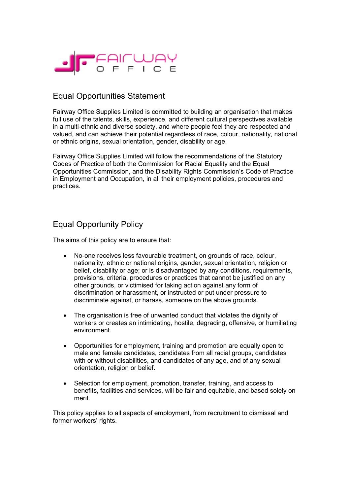

## Equal Opportunities Statement

Fairway Office Supplies Limited is committed to building an organisation that makes full use of the talents, skills, experience, and different cultural perspectives available in a multi-ethnic and diverse society, and where people feel they are respected and valued, and can achieve their potential regardless of race, colour, nationality, national or ethnic origins, sexual orientation, gender, disability or age.

Fairway Office Supplies Limited will follow the recommendations of the Statutory Codes of Practice of both the Commission for Racial Equality and the Equal Opportunities Commission, and the Disability Rights Commission's Code of Practice in Employment and Occupation, in all their employment policies, procedures and practices.

## Equal Opportunity Policy

The aims of this policy are to ensure that:

- No-one receives less favourable treatment, on grounds of race, colour, nationality, ethnic or national origins, gender, sexual orientation, religion or belief, disability or age; or is disadvantaged by any conditions, requirements, provisions, criteria, procedures or practices that cannot be justified on any other grounds, or victimised for taking action against any form of discrimination or harassment, or instructed or put under pressure to discriminate against, or harass, someone on the above grounds.
- The organisation is free of unwanted conduct that violates the dignity of workers or creates an intimidating, hostile, degrading, offensive, or humiliating environment.
- Opportunities for employment, training and promotion are equally open to male and female candidates, candidates from all racial groups, candidates with or without disabilities, and candidates of any age, and of any sexual orientation, religion or belief.
- Selection for employment, promotion, transfer, training, and access to benefits, facilities and services, will be fair and equitable, and based solely on merit.

This policy applies to all aspects of employment, from recruitment to dismissal and former workers' rights.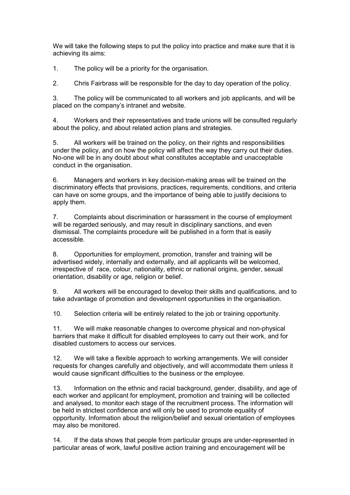We will take the following steps to put the policy into practice and make sure that it is achieving its aims:

1. The policy will be a priority for the organisation.

2. Chris Fairbrass will be responsible for the day to day operation of the policy.

3. The policy will be communicated to all workers and job applicants, and will be placed on the company's intranet and website.

4. Workers and their representatives and trade unions will be consulted regularly about the policy, and about related action plans and strategies.

5. All workers will be trained on the policy, on their rights and responsibilities under the policy, and on how the policy will affect the way they carry out their duties. No-one will be in any doubt about what constitutes acceptable and unacceptable conduct in the organisation.

6. Managers and workers in key decision-making areas will be trained on the discriminatory effects that provisions, practices, requirements, conditions, and criteria can have on some groups, and the importance of being able to justify decisions to apply them.

7. Complaints about discrimination or harassment in the course of employment will be regarded seriously, and may result in disciplinary sanctions, and even dismissal. The complaints procedure will be published in a form that is easily accessible.

8. Opportunities for employment, promotion, transfer and training will be advertised widely, internally and externally, and all applicants will be welcomed, irrespective of race, colour, nationality, ethnic or national origins, gender, sexual orientation, disability or age, religion or belief.

9. All workers will be encouraged to develop their skills and qualifications, and to take advantage of promotion and development opportunities in the organisation.

10. Selection criteria will be entirely related to the job or training opportunity.

11. We will make reasonable changes to overcome physical and non-physical barriers that make it difficult for disabled employees to carry out their work, and for disabled customers to access our services.

12. We will take a flexible approach to working arrangements. We will consider requests for changes carefully and objectively, and will accommodate them unless it would cause significant difficulties to the business or the employee.

13. Information on the ethnic and racial background, gender, disability, and age of each worker and applicant for employment, promotion and training will be collected and analysed, to monitor each stage of the recruitment process. The information will be held in strictest confidence and will only be used to promote equality of opportunity. Information about the religion/belief and sexual orientation of employees may also be monitored.

14. If the data shows that people from particular groups are under-represented in particular areas of work, lawful positive action training and encouragement will be